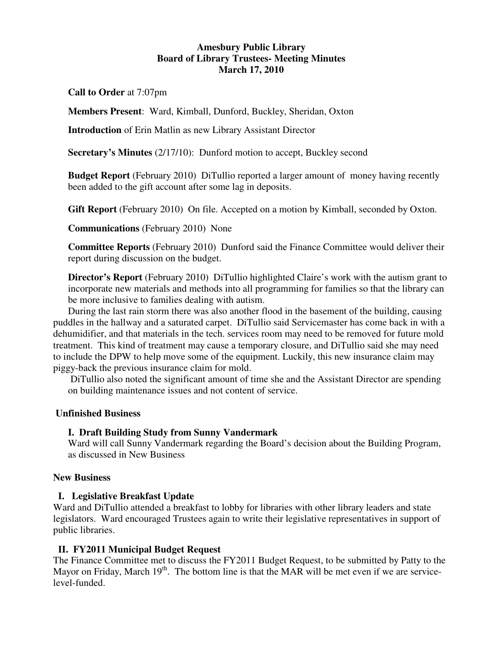## **Amesbury Public Library Board of Library Trustees- Meeting Minutes March 17, 2010**

**Call to Order** at 7:07pm

**Members Present**: Ward, Kimball, Dunford, Buckley, Sheridan, Oxton

**Introduction** of Erin Matlin as new Library Assistant Director

**Secretary's Minutes** (2/17/10): Dunford motion to accept, Buckley second

**Budget Report** (February 2010) DiTullio reported a larger amount of money having recently been added to the gift account after some lag in deposits.

**Gift Report** (February 2010) On file. Accepted on a motion by Kimball, seconded by Oxton.

**Communications** (February 2010) None

**Committee Reports** (February 2010) Dunford said the Finance Committee would deliver their report during discussion on the budget.

**Director's Report** (February 2010) DiTullio highlighted Claire's work with the autism grant to incorporate new materials and methods into all programming for families so that the library can be more inclusive to families dealing with autism.

During the last rain storm there was also another flood in the basement of the building, causing puddles in the hallway and a saturated carpet. DiTullio said Servicemaster has come back in with a dehumidifier, and that materials in the tech. services room may need to be removed for future mold treatment. This kind of treatment may cause a temporary closure, and DiTullio said she may need to include the DPW to help move some of the equipment. Luckily, this new insurance claim may piggy-back the previous insurance claim for mold.

 DiTullio also noted the significant amount of time she and the Assistant Director are spending on building maintenance issues and not content of service.

# **Unfinished Business**

## **I. Draft Building Study from Sunny Vandermark**

Ward will call Sunny Vandermark regarding the Board's decision about the Building Program, as discussed in New Business

## **New Business**

## **I. Legislative Breakfast Update**

Ward and DiTullio attended a breakfast to lobby for libraries with other library leaders and state legislators. Ward encouraged Trustees again to write their legislative representatives in support of public libraries.

## **II. FY2011 Municipal Budget Request**

The Finance Committee met to discuss the FY2011 Budget Request, to be submitted by Patty to the Mayor on Friday, March  $19<sup>th</sup>$ . The bottom line is that the MAR will be met even if we are servicelevel-funded.